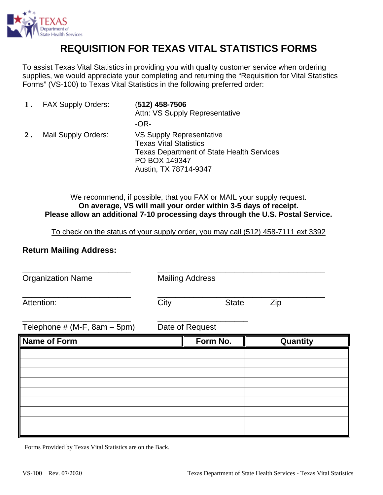

## **REQUISITION FOR TEXAS VITAL STATISTICS FORMS**

To assist Texas Vital Statistics in providing you with quality customer service when ordering supplies, we would appreciate your completing and returning the "Requisition for Vital Statistics Forms" (VS-100) to Texas Vital Statistics in the following preferred order:

|       | 1. FAX Supply Orders: | (512) 458-7506<br>Attn: VS Supply Representative                                                                                                        |  |
|-------|-----------------------|---------------------------------------------------------------------------------------------------------------------------------------------------------|--|
|       |                       | -OR-                                                                                                                                                    |  |
| $2$ . | Mail Supply Orders:   | VS Supply Representative<br><b>Texas Vital Statistics</b><br><b>Texas Department of State Health Services</b><br>PO BOX 149347<br>Austin, TX 78714-9347 |  |

We recommend, if possible, that you FAX or MAIL your supply request. **On average, VS will mail your order within 3-5 days of receipt. Please allow an additional 7-10 processing days through the U.S. Postal Service.** 

To check on the status of your supply order, you may call (512) 458-7111 ext 3392

## **Return Mailing Address:**

**Organization Name** Mailing Address

\_\_\_\_\_\_\_\_\_\_\_\_\_\_\_\_\_\_\_\_\_\_\_\_ \_\_\_\_\_\_\_\_\_\_\_\_\_\_\_\_\_\_\_\_\_\_\_\_\_\_\_\_\_\_\_\_\_\_\_\_\_

Attention: City City State Zip

\_\_\_\_\_\_\_\_\_\_\_\_\_\_\_\_\_\_\_\_\_\_\_\_ \_\_\_\_\_\_\_\_\_\_\_\_\_\_\_\_\_\_\_\_\_\_\_\_\_\_\_\_\_\_\_\_\_\_\_\_\_

Telephone  $# (M-F, 8am - 5pm)$  Date of Request

\_\_\_\_\_\_\_\_\_\_\_\_\_\_\_\_\_\_\_\_\_\_\_\_ \_\_\_\_\_\_\_\_\_\_\_\_\_\_\_\_\_\_\_\_

| Name of Form | Form No. | Quantity |  |
|--------------|----------|----------|--|
|              |          |          |  |
|              |          |          |  |
|              |          |          |  |
|              |          |          |  |
|              |          |          |  |
|              |          |          |  |
|              |          |          |  |
|              |          |          |  |
|              |          |          |  |

Forms Provided by Texas Vital Statistics are on the Back.